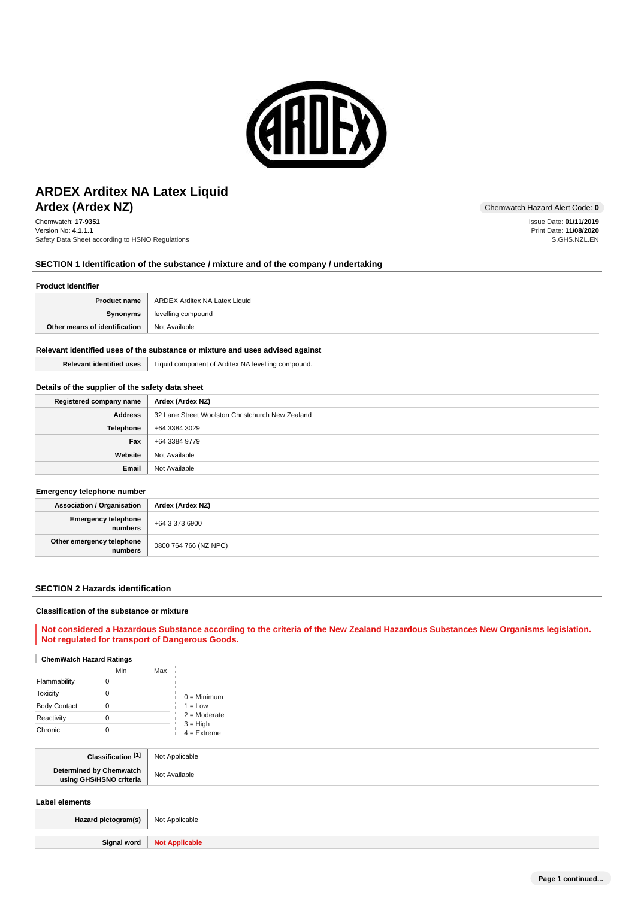

# **Ardex (Ardex NZ)** Chemwatch Hazard Alert Code: 0 **ARDEX Arditex NA Latex Liquid**

Chemwatch: **17-9351** Version No: **4.1.1.1** Safety Data Sheet according to HSNO Regulations

### **SECTION 1 Identification of the substance / mixture and of the company / undertaking**

#### **Product Identifier**

| <b>Product name</b>           | ARDEX Arditex NA Latex Liquid |
|-------------------------------|-------------------------------|
| Synonyms                      | levelling compound            |
| Other means of identification | Not Available                 |

#### **Relevant identified uses of the substance or mixture and uses advised against**

## **Relevant identified uses** | Liquid component of Arditex NA levelling compound.

#### **Details of the supplier of the safety data sheet**

| Registered company name | Ardex (Ardex NZ)                                 |
|-------------------------|--------------------------------------------------|
| <b>Address</b>          | 32 Lane Street Woolston Christchurch New Zealand |
| <b>Telephone</b>        | +64 3384 3029                                    |
| Fax                     | +64 3384 9779                                    |
| Website                 | Not Available                                    |
| Email                   | Not Available                                    |

#### **Emergency telephone number**

| <b>Association / Organisation</b>    | Ardex (Ardex NZ)      |
|--------------------------------------|-----------------------|
| Emergency telephone<br>  numbers     | +64 3 373 6900        |
| Other emergency telephone<br>numbers | 0800 764 766 (NZ NPC) |

#### **SECTION 2 Hazards identification**

#### **Classification of the substance or mixture**

**Not considered a Hazardous Substance according to the criteria of the New Zealand Hazardous Substances New Organisms legislation. Not regulated for transport of Dangerous Goods.**

### **ChemWatch Hazard Ratings**

|                     | Min | Max |                             |
|---------------------|-----|-----|-----------------------------|
| Flammability        |     |     |                             |
| <b>Toxicity</b>     |     |     | $0 =$ Minimum               |
| <b>Body Contact</b> |     |     | $1 = Low$                   |
| Reactivity          |     |     | $2 =$ Moderate              |
| Chronic             |     |     | $3 = High$<br>$4 =$ Extreme |

| Classification <sup>[1]</sup>                      | Not Applicable |
|----------------------------------------------------|----------------|
| Determined by Chemwatch<br>using GHS/HSNO criteria | Not Available  |
|                                                    |                |

### **Label elements**

| Hazard pictogram(s)   Not Applicable |                              |
|--------------------------------------|------------------------------|
|                                      |                              |
|                                      | Signal word   Not Applicable |

Issue Date: **01/11/2019** Print Date: **11/08/2020** S.GHS.NZL.EN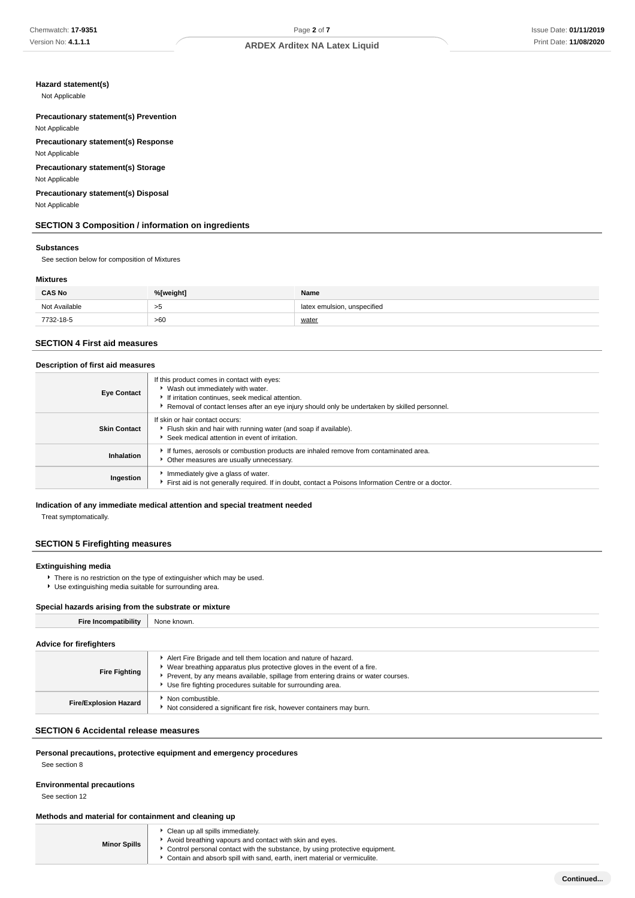### **Hazard statement(s)**

Not Applicable

### **Precautionary statement(s) Prevention** Not Applicable

**Precautionary statement(s) Response**

Not Applicable

### **Precautionary statement(s) Storage** Not Applicable

### **Precautionary statement(s) Disposal** Not Applicable

### **SECTION 3 Composition / information on ingredients**

#### **Substances**

See section below for composition of Mixtures

### **Mixtures**

| <b>CAS No</b> | %[weight] | Name                        |
|---------------|-----------|-----------------------------|
| Not Available | >5        | latex emulsion, unspecified |
| 7732-18-5     | >60       | water                       |

### **SECTION 4 First aid measures**

#### **Description of first aid measures**

| <b>Eye Contact</b>  | If this product comes in contact with eyes:<br>▶ Wash out immediately with water.<br>If irritation continues, seek medical attention.<br>Removal of contact lenses after an eye injury should only be undertaken by skilled personnel. |
|---------------------|----------------------------------------------------------------------------------------------------------------------------------------------------------------------------------------------------------------------------------------|
| <b>Skin Contact</b> | If skin or hair contact occurs:<br>Flush skin and hair with running water (and soap if available).<br>Seek medical attention in event of irritation.                                                                                   |
| Inhalation          | If fumes, aerosols or combustion products are inhaled remove from contaminated area.<br>Other measures are usually unnecessary.                                                                                                        |
| Ingestion           | Immediately give a glass of water.<br>First aid is not generally required. If in doubt, contact a Poisons Information Centre or a doctor.                                                                                              |

#### **Indication of any immediate medical attention and special treatment needed**

Treat symptomatically.

#### **SECTION 5 Firefighting measures**

#### **Extinguishing media**

- **F** There is no restriction on the type of extinguisher which may be used.
- Use extinguishing media suitable for surrounding area.

#### **Special hazards arising from the substrate or mixture**

| <b>Fire Incompatibility</b>    | None known.                                                                                                                                                                                                                                                                                         |
|--------------------------------|-----------------------------------------------------------------------------------------------------------------------------------------------------------------------------------------------------------------------------------------------------------------------------------------------------|
| <b>Advice for firefighters</b> |                                                                                                                                                                                                                                                                                                     |
| <b>Fire Fighting</b>           | Alert Fire Brigade and tell them location and nature of hazard.<br>• Wear breathing apparatus plus protective gloves in the event of a fire.<br>▶ Prevent, by any means available, spillage from entering drains or water courses.<br>▶ Use fire fighting procedures suitable for surrounding area. |
| <b>Fire/Explosion Hazard</b>   | Non combustible.<br>Not considered a significant fire risk, however containers may burn.                                                                                                                                                                                                            |

### **SECTION 6 Accidental release measures**

#### **Personal precautions, protective equipment and emergency procedures**

See section 8

# **Environmental precautions**

See section 12

### **Methods and material for containment and cleaning up**

| <b>Minor Spills</b> | Clean up all spills immediately.<br>Avoid breathing vapours and contact with skin and eyes.<br>• Control personal contact with the substance, by using protective equipment.<br>• Contain and absorb spill with sand, earth, inert material or vermiculite. |
|---------------------|-------------------------------------------------------------------------------------------------------------------------------------------------------------------------------------------------------------------------------------------------------------|
|---------------------|-------------------------------------------------------------------------------------------------------------------------------------------------------------------------------------------------------------------------------------------------------------|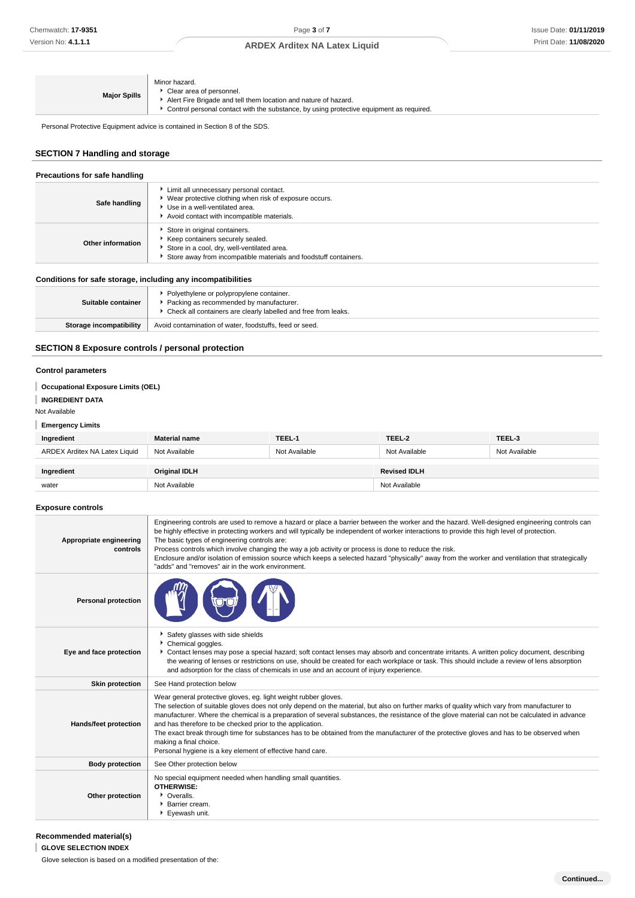| <b>Major Spills</b> | Minor hazard.<br>Clear area of personnel.<br>Alert Fire Brigade and tell them location and nature of hazard.<br>▶ Control personal contact with the substance, by using protective equipment as required. |
|---------------------|-----------------------------------------------------------------------------------------------------------------------------------------------------------------------------------------------------------|
|---------------------|-----------------------------------------------------------------------------------------------------------------------------------------------------------------------------------------------------------|

Personal Protective Equipment advice is contained in Section 8 of the SDS.

## **SECTION 7 Handling and storage**

| Precautions for safe handling                                |                                                                                                                                                                                        |  |
|--------------------------------------------------------------|----------------------------------------------------------------------------------------------------------------------------------------------------------------------------------------|--|
| Safe handling                                                | Limit all unnecessary personal contact.<br>▶ Wear protective clothing when risk of exposure occurs.<br>▶ Use in a well-ventilated area.<br>Avoid contact with incompatible materials.  |  |
| Other information                                            | Store in original containers.<br>▶ Keep containers securely sealed.<br>Store in a cool, dry, well-ventilated area.<br>Store away from incompatible materials and foodstuff containers. |  |
| Conditions for safe storage, including any incompatibilities |                                                                                                                                                                                        |  |
| Cuitable container                                           | • Polyethylene or polypropylene container.<br><b>E</b> Pooking as recommended by manufacturer                                                                                          |  |

| Storage incompatibility | Avoid contamination of water, foodstuffs, feed or seed.                                                     |
|-------------------------|-------------------------------------------------------------------------------------------------------------|
| Suitable container      | Packing as recommended by manufacturer.<br>* Check all containers are clearly labelled and free from leaks. |

## **SECTION 8 Exposure controls / personal protection**

#### **Control parameters**

### **Occupational Exposure Limits (OEL)**

#### **INGREDIENT DATA**

Not Available

#### **Emergency Limits**

| Ingredient                    | <b>Material name</b> | TEEL-1        | TEEL-2              | TEEL-3        |
|-------------------------------|----------------------|---------------|---------------------|---------------|
| ARDEX Arditex NA Latex Liquid | Not Available        | Not Available | Not Available       | Not Available |
|                               |                      |               |                     |               |
| Ingredient                    | Original IDLH        |               | <b>Revised IDLH</b> |               |
| water                         | Not Available        |               | Not Available       |               |

### **Exposure controls**

| Appropriate engineering<br>controls | Engineering controls are used to remove a hazard or place a barrier between the worker and the hazard. Well-designed engineering controls can<br>be highly effective in protecting workers and will typically be independent of worker interactions to provide this high level of protection.<br>The basic types of engineering controls are:<br>Process controls which involve changing the way a job activity or process is done to reduce the risk.<br>Enclosure and/or isolation of emission source which keeps a selected hazard "physically" away from the worker and ventilation that strategically<br>"adds" and "removes" air in the work environment.   |
|-------------------------------------|-------------------------------------------------------------------------------------------------------------------------------------------------------------------------------------------------------------------------------------------------------------------------------------------------------------------------------------------------------------------------------------------------------------------------------------------------------------------------------------------------------------------------------------------------------------------------------------------------------------------------------------------------------------------|
| <b>Personal protection</b>          |                                                                                                                                                                                                                                                                                                                                                                                                                                                                                                                                                                                                                                                                   |
| Eye and face protection             | Safety glasses with side shields<br>Chemical goggles.<br>Contact lenses may pose a special hazard; soft contact lenses may absorb and concentrate irritants. A written policy document, describing<br>the wearing of lenses or restrictions on use, should be created for each workplace or task. This should include a review of lens absorption<br>and adsorption for the class of chemicals in use and an account of injury experience.                                                                                                                                                                                                                        |
| <b>Skin protection</b>              | See Hand protection below                                                                                                                                                                                                                                                                                                                                                                                                                                                                                                                                                                                                                                         |
| <b>Hands/feet protection</b>        | Wear general protective gloves, eg. light weight rubber gloves.<br>The selection of suitable gloves does not only depend on the material, but also on further marks of quality which vary from manufacturer to<br>manufacturer. Where the chemical is a preparation of several substances, the resistance of the glove material can not be calculated in advance<br>and has therefore to be checked prior to the application.<br>The exact break through time for substances has to be obtained from the manufacturer of the protective gloves and has to be observed when<br>making a final choice.<br>Personal hygiene is a key element of effective hand care. |
| <b>Body protection</b>              | See Other protection below                                                                                                                                                                                                                                                                                                                                                                                                                                                                                                                                                                                                                                        |
| Other protection                    | No special equipment needed when handling small quantities.<br><b>OTHERWISE:</b><br>• Overalls.<br><b>Barrier cream.</b><br>Eyewash unit.                                                                                                                                                                                                                                                                                                                                                                                                                                                                                                                         |

### **Recommended material(s)**

**GLOVE SELECTION INDEX**

Glove selection is based on a modified presentation of the: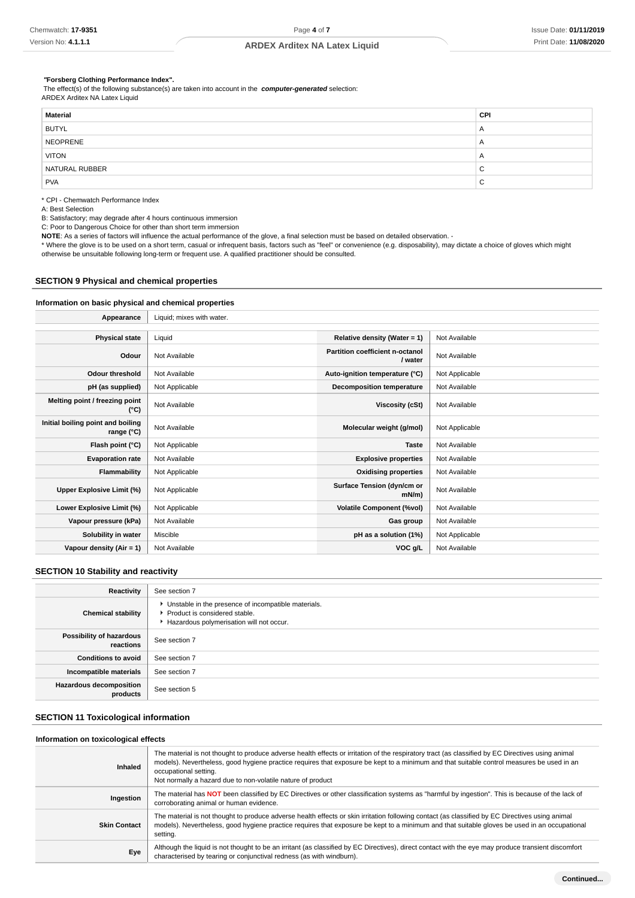#### **"Forsberg Clothing Performance Index".**

 The effect(s) of the following substance(s) are taken into account in the **computer-generated** selection: ARDEX Arditex NA Latex Liquid

| <b>CPI</b>     |
|----------------|
| $\mathsf{A}$   |
| $\mathsf{A}$   |
| $\overline{a}$ |
| $\sim$<br>◡    |
| $\sim$<br>v    |
|                |

\* CPI - Chemwatch Performance Index

A: Best Selection

B: Satisfactory; may degrade after 4 hours continuous immersion

C: Poor to Dangerous Choice for other than short term immersion

**NOTE**: As a series of factors will influence the actual performance of the glove, a final selection must be based on detailed observation. -

\* Where the glove is to be used on a short term, casual or infrequent basis, factors such as "feel" or convenience (e.g. disposability), may dictate a choice of gloves which might otherwise be unsuitable following long-term or frequent use. A qualified practitioner should be consulted.

#### **SECTION 9 Physical and chemical properties**

### **Information on basic physical and chemical properties**

| Appearance                                      | Liquid; mixes with water. |                                            |                |
|-------------------------------------------------|---------------------------|--------------------------------------------|----------------|
|                                                 |                           |                                            |                |
| <b>Physical state</b>                           | Liquid                    | Relative density (Water = 1)               | Not Available  |
| Odour                                           | Not Available             | Partition coefficient n-octanol<br>/ water | Not Available  |
| <b>Odour threshold</b>                          | Not Available             | Auto-ignition temperature (°C)             | Not Applicable |
| pH (as supplied)                                | Not Applicable            | <b>Decomposition temperature</b>           | Not Available  |
| Melting point / freezing point<br>(°C)          | Not Available             | Viscosity (cSt)                            | Not Available  |
| Initial boiling point and boiling<br>range (°C) | Not Available             | Molecular weight (g/mol)                   | Not Applicable |
| Flash point (°C)                                | Not Applicable            | <b>Taste</b>                               | Not Available  |
| <b>Evaporation rate</b>                         | Not Available             | <b>Explosive properties</b>                | Not Available  |
| Flammability                                    | Not Applicable            | <b>Oxidising properties</b>                | Not Available  |
| Upper Explosive Limit (%)                       | Not Applicable            | Surface Tension (dyn/cm or<br>mN/m         | Not Available  |
| Lower Explosive Limit (%)                       | Not Applicable            | <b>Volatile Component (%vol)</b>           | Not Available  |
| Vapour pressure (kPa)                           | Not Available             | Gas group                                  | Not Available  |
| Solubility in water                             | Miscible                  | pH as a solution (1%)                      | Not Applicable |
| Vapour density (Air = 1)                        | Not Available             | VOC g/L                                    | Not Available  |

#### **SECTION 10 Stability and reactivity**

| Reactivity                                 | See section 7                                                                                                                        |
|--------------------------------------------|--------------------------------------------------------------------------------------------------------------------------------------|
| <b>Chemical stability</b>                  | • Unstable in the presence of incompatible materials.<br>▶ Product is considered stable.<br>Hazardous polymerisation will not occur. |
| Possibility of hazardous<br>reactions      | See section 7                                                                                                                        |
| <b>Conditions to avoid</b>                 | See section 7                                                                                                                        |
| Incompatible materials                     | See section 7                                                                                                                        |
| <b>Hazardous decomposition</b><br>products | See section 5                                                                                                                        |

### **SECTION 11 Toxicological information**

#### **Information on toxicological effects**

| Inhaled             | The material is not thought to produce adverse health effects or irritation of the respiratory tract (as classified by EC Directives using animal<br>models). Nevertheless, good hygiene practice requires that exposure be kept to a minimum and that suitable control measures be used in an<br>occupational setting.<br>Not normally a hazard due to non-volatile nature of product |
|---------------------|----------------------------------------------------------------------------------------------------------------------------------------------------------------------------------------------------------------------------------------------------------------------------------------------------------------------------------------------------------------------------------------|
| Ingestion           | The material has NOT been classified by EC Directives or other classification systems as "harmful by ingestion". This is because of the lack of<br>corroborating animal or human evidence.                                                                                                                                                                                             |
| <b>Skin Contact</b> | The material is not thought to produce adverse health effects or skin irritation following contact (as classified by EC Directives using animal<br>models). Nevertheless, good hygiene practice requires that exposure be kept to a minimum and that suitable gloves be used in an occupational<br>setting.                                                                            |
| Eye                 | Although the liquid is not thought to be an irritant (as classified by EC Directives), direct contact with the eye may produce transient discomfort<br>characterised by tearing or conjunctival redness (as with windburn).                                                                                                                                                            |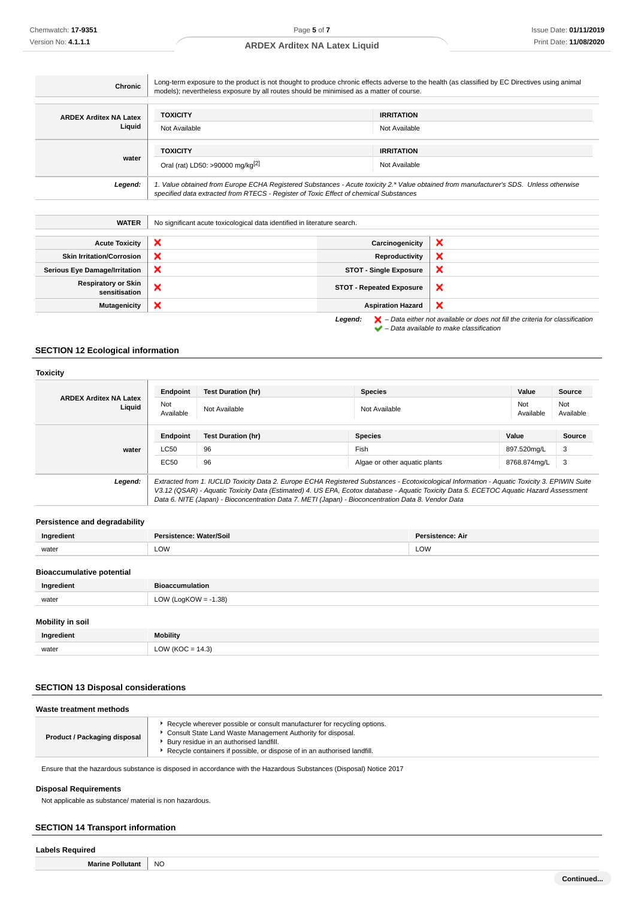| Chronic                                     | Long-term exposure to the product is not thought to produce chronic effects adverse to the health (as classified by EC Directives using animal<br>models); nevertheless exposure by all routes should be minimised as a matter of course. |                                 |                                                                                                                                                                     |
|---------------------------------------------|-------------------------------------------------------------------------------------------------------------------------------------------------------------------------------------------------------------------------------------------|---------------------------------|---------------------------------------------------------------------------------------------------------------------------------------------------------------------|
| <b>ARDEX Arditex NA Latex</b>               | <b>TOXICITY</b>                                                                                                                                                                                                                           | <b>IRRITATION</b>               |                                                                                                                                                                     |
| Liquid                                      | Not Available                                                                                                                                                                                                                             | Not Available                   |                                                                                                                                                                     |
|                                             | <b>TOXICITY</b><br><b>IRRITATION</b>                                                                                                                                                                                                      |                                 |                                                                                                                                                                     |
| water                                       | Oral (rat) LD50: >90000 mg/kg <sup>[2]</sup>                                                                                                                                                                                              | Not Available                   |                                                                                                                                                                     |
| Legend:                                     | 1. Value obtained from Europe ECHA Registered Substances - Acute toxicity 2.* Value obtained from manufacturer's SDS. Unless otherwise<br>specified data extracted from RTECS - Register of Toxic Effect of chemical Substances           |                                 |                                                                                                                                                                     |
| <b>WATER</b>                                | No significant acute toxicological data identified in literature search.                                                                                                                                                                  |                                 |                                                                                                                                                                     |
| <b>Acute Toxicity</b>                       | ×                                                                                                                                                                                                                                         | Carcinogenicity                 | ×                                                                                                                                                                   |
| <b>Skin Irritation/Corrosion</b>            | ×                                                                                                                                                                                                                                         | Reproductivity                  | ×                                                                                                                                                                   |
| <b>Serious Eye Damage/Irritation</b>        | ×                                                                                                                                                                                                                                         | <b>STOT - Single Exposure</b>   | ×                                                                                                                                                                   |
| <b>Respiratory or Skin</b><br>sensitisation | ×                                                                                                                                                                                                                                         | <b>STOT - Repeated Exposure</b> | ×                                                                                                                                                                   |
| <b>Mutagenicity</b>                         | ×                                                                                                                                                                                                                                         | <b>Aspiration Hazard</b>        | ×                                                                                                                                                                   |
|                                             |                                                                                                                                                                                                                                           | Legend:                         | $\blacktriangleright$ - Data either not available or does not fill the criteria for classification<br>$\blacktriangleright$ - Data available to make classification |

### **SECTION 12 Ecological information**

#### **Toxicity ARDEX Arditex NA Latex Liquid Endpoint Test Duration (hr) Species Value Source** Not<br>Available Not Not Not Available Not Available Not Available Not Available Not Available Not Available Not Ava Available Not Available

|         | Endpoint                                                                                                                                                                                                                                                                                                                                                                                        | <b>Test Duration (hr)</b> | <b>Species</b>                | Value        | Source |
|---------|-------------------------------------------------------------------------------------------------------------------------------------------------------------------------------------------------------------------------------------------------------------------------------------------------------------------------------------------------------------------------------------------------|---------------------------|-------------------------------|--------------|--------|
| water   | LC50                                                                                                                                                                                                                                                                                                                                                                                            | 96                        | Fish                          | 897.520ma/L  | 3      |
|         | EC50                                                                                                                                                                                                                                                                                                                                                                                            | 96                        | Algae or other aguatic plants | 8768.874mg/L | - 3    |
| Legend: | Extracted from 1. IUCLID Toxicity Data 2. Europe ECHA Registered Substances - Ecotoxicological Information - Aquatic Toxicity 3. EPIWIN Suite<br>V3.12 (QSAR) - Aquatic Toxicity Data (Estimated) 4. US EPA, Ecotox database - Aquatic Toxicity Data 5. ECETOC Aquatic Hazard Assessment<br>Data 6. NITE (Japan) - Bioconcentration Data 7. METI (Japan) - Bioconcentration Data 8. Vendor Data |                           |                               |              |        |

### **Persistence and degradability**

| Ingredient                 | Persistence: Water/Soil | Persistence: Air |
|----------------------------|-------------------------|------------------|
| water                      | LOW                     | LOW              |
| Dissasiwo daliwa natantial |                         |                  |

#### **Bioaccumulative potential**

| Ingredient              | <b>Bioaccumulation</b>  |
|-------------------------|-------------------------|
| water                   | LOW (LogKOW = $-1.38$ ) |
| <b>Mobility in soil</b> |                         |
| Ingredient              | <b>Mobility</b>         |
| water                   | LOW ( $KOC = 14.3$ )    |

### **SECTION 13 Disposal considerations**

| Waste treatment methods      |                                                                                                                                                                                                                                                                |
|------------------------------|----------------------------------------------------------------------------------------------------------------------------------------------------------------------------------------------------------------------------------------------------------------|
| Product / Packaging disposal | Recycle wherever possible or consult manufacturer for recycling options.<br>Consult State Land Waste Management Authority for disposal.<br>Bury residue in an authorised landfill.<br>Recycle containers if possible, or dispose of in an authorised landfill. |

Ensure that the hazardous substance is disposed in accordance with the Hazardous Substances (Disposal) Notice 2017

#### **Disposal Requirements**

Not applicable as substance/ material is non hazardous.

### **SECTION 14 Transport information**

# **Labels Required Marine Pollutant** NO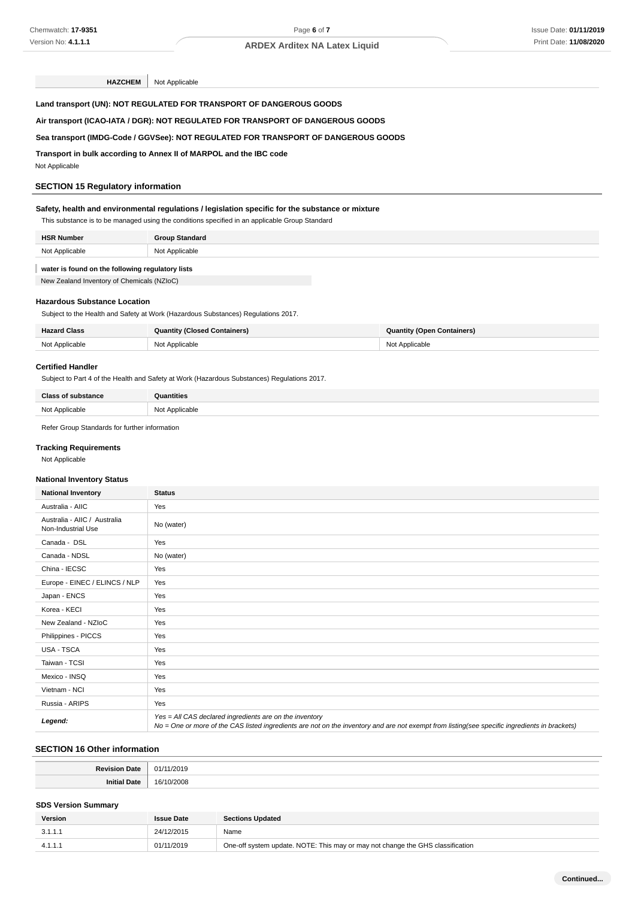## **HAZCHEM** Not Applicable

**Land transport (UN): NOT REGULATED FOR TRANSPORT OF DANGEROUS GOODS**

## **Air transport (ICAO-IATA / DGR): NOT REGULATED FOR TRANSPORT OF DANGEROUS GOODS**

#### **Sea transport (IMDG-Code / GGVSee): NOT REGULATED FOR TRANSPORT OF DANGEROUS GOODS**

**Transport in bulk according to Annex II of MARPOL and the IBC code**

Not Applicable

### **SECTION 15 Regulatory information**

#### **Safety, health and environmental regulations / legislation specific for the substance or mixture**

| This substance is to be managed using the conditions specified in an applicable Group Standard |                       |  |
|------------------------------------------------------------------------------------------------|-----------------------|--|
| <b>HSR Number</b>                                                                              | <b>Group Standard</b> |  |
| Not Applicable                                                                                 | Not Applicable        |  |

#### **water is found on the following regulatory lists**

New Zealand Inventory of Chemicals (NZIoC)

#### **Hazardous Substance Location**

Subject to the Health and Safety at Work (Hazardous Substances) Regulations 2017.

| <b>Hazard Class</b> | <b>Quantity (Closed Containers)</b> | <b>Quantity (Open Containers)</b> |
|---------------------|-------------------------------------|-----------------------------------|
| Not Applicable      | Not Applicable                      | Not Applicable                    |

#### **Certified Handler**

Subject to Part 4 of the Health and Safety at Work (Hazardous Substances) Regulations 2017.

| Class of subsy.<br>.tance | <b>Quantities</b> |
|---------------------------|-------------------|
| Not Annlicable            | Not Applicable    |

Refer Group Standards for further information

### **Tracking Requirements**

Not Applicable

#### **National Inventory Status**

| <b>National Inventory</b>                          | <b>Status</b>                                                                                                                                                                                            |
|----------------------------------------------------|----------------------------------------------------------------------------------------------------------------------------------------------------------------------------------------------------------|
| Australia - AIIC                                   | Yes                                                                                                                                                                                                      |
| Australia - AIIC / Australia<br>Non-Industrial Use | No (water)                                                                                                                                                                                               |
| Canada - DSL                                       | Yes                                                                                                                                                                                                      |
| Canada - NDSL                                      | No (water)                                                                                                                                                                                               |
| China - IECSC                                      | Yes                                                                                                                                                                                                      |
| Europe - EINEC / ELINCS / NLP                      | Yes                                                                                                                                                                                                      |
| Japan - ENCS                                       | Yes                                                                                                                                                                                                      |
| Korea - KECI                                       | Yes                                                                                                                                                                                                      |
| New Zealand - NZIoC                                | Yes                                                                                                                                                                                                      |
| Philippines - PICCS                                | Yes                                                                                                                                                                                                      |
| USA - TSCA                                         | Yes                                                                                                                                                                                                      |
| Taiwan - TCSI                                      | Yes                                                                                                                                                                                                      |
| Mexico - INSQ                                      | Yes                                                                                                                                                                                                      |
| Vietnam - NCI                                      | Yes                                                                                                                                                                                                      |
| Russia - ARIPS                                     | Yes                                                                                                                                                                                                      |
| Legend:                                            | Yes = All CAS declared ingredients are on the inventory<br>No = One or more of the CAS listed ingredients are not on the inventory and are not exempt from listing(see specific ingredients in brackets) |

### **SECTION 16 Other information**

#### **SDS Version Summary**

| <b>Version</b> | <b>Issue Date</b> | <b>Sections Updated</b>                                                        |
|----------------|-------------------|--------------------------------------------------------------------------------|
| 3.1.1.1        | 24/12/2015        | Name                                                                           |
| 4.1.1.1        | 01/11/2019        | One-off system update. NOTE: This may or may not change the GHS classification |

**Continued...**